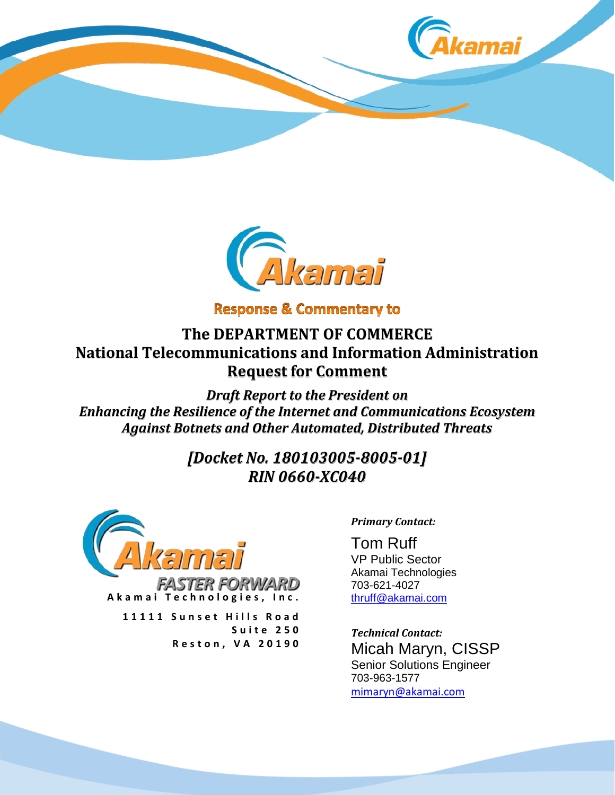



**Response & Commentary to** 

**The DEPARTMENT OF COMMERCE National Telecommunications and Information Administration Request for Comment**

*Draft Report to the President on Enhancing the Resilience of the Internet and Communications Ecosystem Against Botnets and Other Automated, Distributed Threats* 

> *[Docket No. 180103005-8005-01] RIN 0660-XC040*



*FASTER FORWARD* **Akamai Technologies, Inc.**

**11111 Sunset Hills Road Suite 250 Reston, VA 20190**

*Primary Contact:*

Tom Ruff VP Public Sector Akamai Technologies 703-621-4027 [thruff@akamai.com](mailto:thruff@akamai.com)

*Technical Contact:* Micah Maryn, CISSP Senior Solutions Engineer 703-963-1577 [mimaryn@akamai.com](mailto:mimaryn@akamai.com)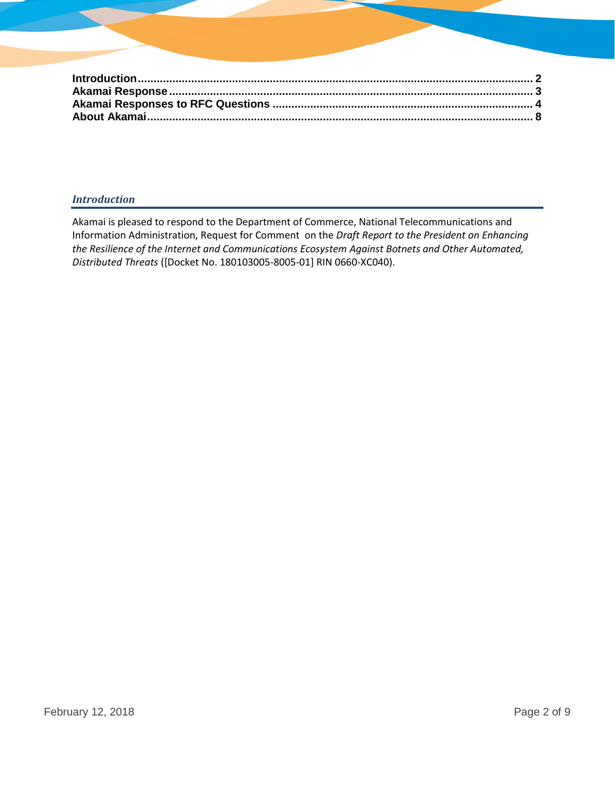### *Introduction*

Akamai is pleased to respond to the Department of Commerce, National Telecommunications and Information Administration, Request for Comment on the *Draft Report to the President on Enhancing the Resilience of the Internet and Communications Ecosystem Against Botnets and Other Automated, Distributed Threats* ([Docket No. 180103005-8005-01] RIN 0660-XC040).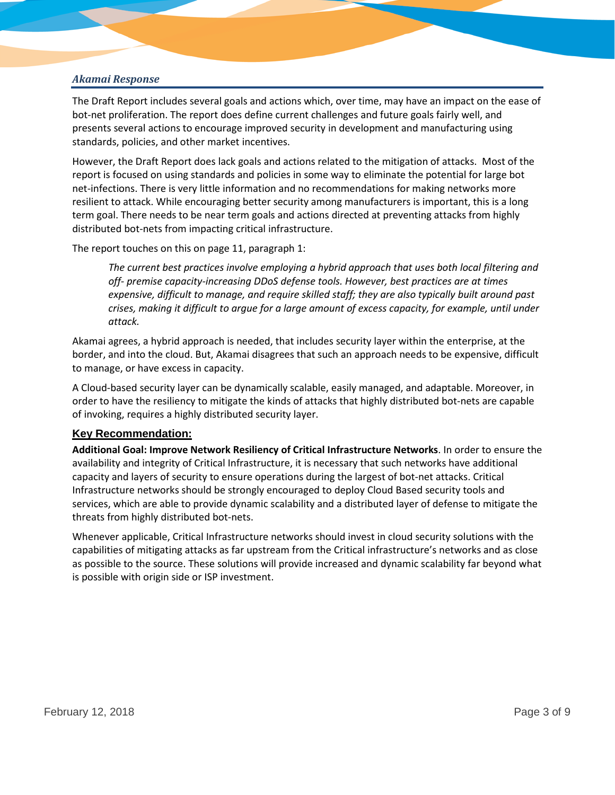### *Akamai Response*

The Draft Report includes several goals and actions which, over time, may have an impact on the ease of bot-net proliferation. The report does define current challenges and future goals fairly well, and presents several actions to encourage improved security in development and manufacturing using standards, policies, and other market incentives.

However, the Draft Report does lack goals and actions related to the mitigation of attacks. Most of the report is focused on using standards and policies in some way to eliminate the potential for large bot net-infections. There is very little information and no recommendations for making networks more resilient to attack. While encouraging better security among manufacturers is important, this is a long term goal. There needs to be near term goals and actions directed at preventing attacks from highly distributed bot-nets from impacting critical infrastructure.

The report touches on this on page 11, paragraph 1:

*The current best practices involve employing a hybrid approach that uses both local filtering and off- premise capacity-increasing DDoS defense tools. However, best practices are at times expensive, difficult to manage, and require skilled staff; they are also typically built around past crises, making it difficult to argue for a large amount of excess capacity, for example, until under attack.*

Akamai agrees, a hybrid approach is needed, that includes security layer within the enterprise, at the border, and into the cloud. But, Akamai disagrees that such an approach needs to be expensive, difficult to manage, or have excess in capacity.

A Cloud-based security layer can be dynamically scalable, easily managed, and adaptable. Moreover, in order to have the resiliency to mitigate the kinds of attacks that highly distributed bot-nets are capable of invoking, requires a highly distributed security layer.

#### **Key Recommendation:**

**Additional Goal: Improve Network Resiliency of Critical Infrastructure Networks**. In order to ensure the availability and integrity of Critical Infrastructure, it is necessary that such networks have additional capacity and layers of security to ensure operations during the largest of bot-net attacks. Critical Infrastructure networks should be strongly encouraged to deploy Cloud Based security tools and services, which are able to provide dynamic scalability and a distributed layer of defense to mitigate the threats from highly distributed bot-nets.

Whenever applicable, Critical Infrastructure networks should invest in cloud security solutions with the capabilities of mitigating attacks as far upstream from the Critical infrastructure's networks and as close as possible to the source. These solutions will provide increased and dynamic scalability far beyond what is possible with origin side or ISP investment.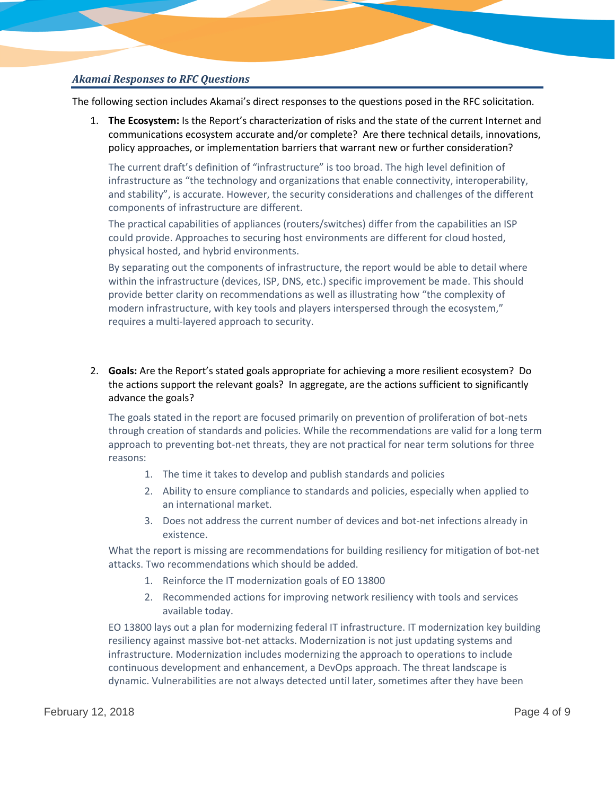# *Akamai Responses to RFC Questions*

The following section includes Akamai's direct responses to the questions posed in the RFC solicitation.

1. **The Ecosystem:** Is the Report's characterization of risks and the state of the current Internet and communications ecosystem accurate and/or complete? Are there technical details, innovations, policy approaches, or implementation barriers that warrant new or further consideration?

The current draft's definition of "infrastructure" is too broad. The high level definition of infrastructure as "the technology and organizations that enable connectivity, interoperability, and stability", is accurate. However, the security considerations and challenges of the different components of infrastructure are different.

The practical capabilities of appliances (routers/switches) differ from the capabilities an ISP could provide. Approaches to securing host environments are different for cloud hosted, physical hosted, and hybrid environments.

By separating out the components of infrastructure, the report would be able to detail where within the infrastructure (devices, ISP, DNS, etc.) specific improvement be made. This should provide better clarity on recommendations as well as illustrating how "the complexity of modern infrastructure, with key tools and players interspersed through the ecosystem," requires a multi-layered approach to security.

# 2. **Goals:** Are the Report's stated goals appropriate for achieving a more resilient ecosystem? Do the actions support the relevant goals? In aggregate, are the actions sufficient to significantly advance the goals?

The goals stated in the report are focused primarily on prevention of proliferation of bot-nets through creation of standards and policies. While the recommendations are valid for a long term approach to preventing bot-net threats, they are not practical for near term solutions for three reasons:

- 1. The time it takes to develop and publish standards and policies
- 2. Ability to ensure compliance to standards and policies, especially when applied to an international market.
- 3. Does not address the current number of devices and bot-net infections already in existence.

What the report is missing are recommendations for building resiliency for mitigation of bot-net attacks. Two recommendations which should be added.

- 1. Reinforce the IT modernization goals of EO 13800
- 2. Recommended actions for improving network resiliency with tools and services available today.

EO 13800 lays out a plan for modernizing federal IT infrastructure. IT modernization key building resiliency against massive bot-net attacks. Modernization is not just updating systems and infrastructure. Modernization includes modernizing the approach to operations to include continuous development and enhancement, a DevOps approach. The threat landscape is dynamic. Vulnerabilities are not always detected until later, sometimes after they have been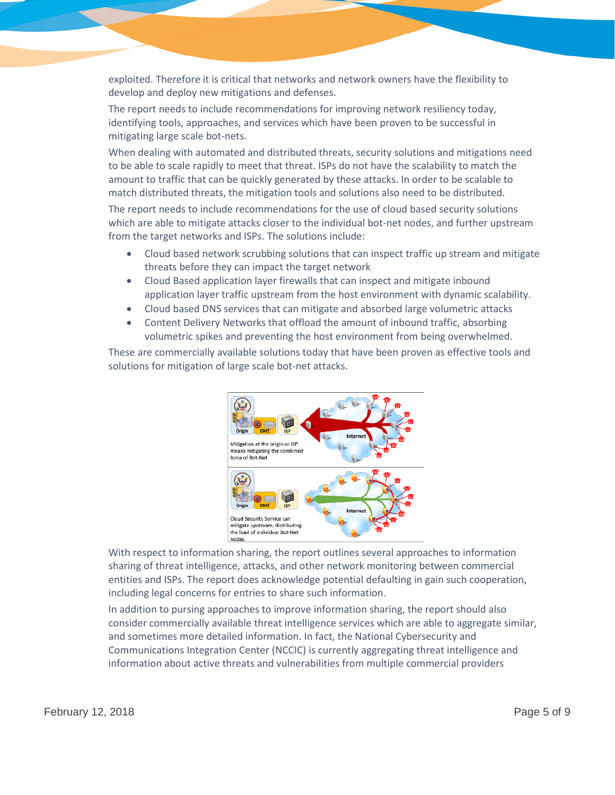exploited. Therefore it is critical that networks and network owners have the flexibility to develop and deploy new mitigations and defenses.

The report needs to include recommendations for improving network resiliency today, identifying tools, approaches, and services which have been proven to be successful in mitigating large scale bot-nets.

When dealing with automated and distributed threats, security solutions and mitigations need to be able to scale rapidly to meet that threat. ISPs do not have the scalability to match the amount to traffic that can be quickly generated by these attacks. In order to be scalable to match distributed threats, the mitigation tools and solutions also need to be distributed.

The report needs to include recommendations for the use of cloud based security solutions which are able to mitigate attacks closer to the individual bot-net nodes, and further upstream from the target networks and ISPs. The solutions include:

- Cloud based network scrubbing solutions that can inspect traffic up stream and mitigate threats before they can impact the target network
- Cloud Based application layer firewalls that can inspect and mitigate inbound application layer traffic upstream from the host environment with dynamic scalability.
- Cloud based DNS services that can mitigate and absorbed large volumetric attacks
- Content Delivery Networks that offload the amount of inbound traffic, absorbing volumetric spikes and preventing the host environment from being overwhelmed.

These are commercially available solutions today that have been proven as effective tools and solutions for mitigation of large scale bot-net attacks.



With respect to information sharing, the report outlines several approaches to information sharing of threat intelligence, attacks, and other network monitoring between commercial entities and ISPs. The report does acknowledge potential defaulting in gain such cooperation, including legal concerns for entries to share such information.

In addition to pursing approaches to improve information sharing, the report should also consider commercially available threat intelligence services which are able to aggregate similar, and sometimes more detailed information. In fact, the National Cybersecurity and Communications Integration Center (NCCIC) is currently aggregating threat intelligence and information about active threats and vulnerabilities from multiple commercial providers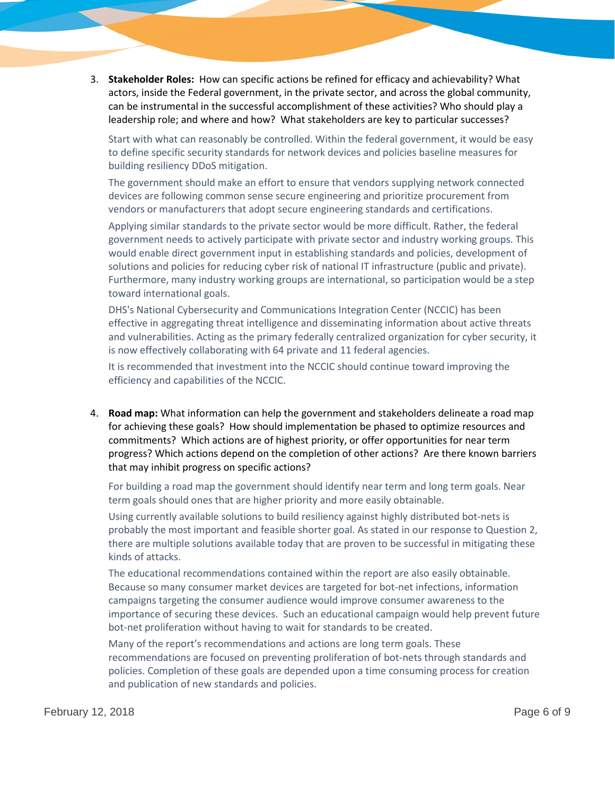3. **Stakeholder Roles:** How can specific actions be refined for efficacy and achievability? What actors, inside the Federal government, in the private sector, and across the global community, can be instrumental in the successful accomplishment of these activities? Who should play a leadership role; and where and how? What stakeholders are key to particular successes?

Start with what can reasonably be controlled. Within the federal government, it would be easy to define specific security standards for network devices and policies baseline measures for building resiliency DDoS mitigation.

The government should make an effort to ensure that vendors supplying network connected devices are following common sense secure engineering and prioritize procurement from vendors or manufacturers that adopt secure engineering standards and certifications.

Applying similar standards to the private sector would be more difficult. Rather, the federal government needs to actively participate with private sector and industry working groups. This would enable direct government input in establishing standards and policies, development of solutions and policies for reducing cyber risk of national IT infrastructure (public and private). Furthermore, many industry working groups are international, so participation would be a step toward international goals.

DHS's National Cybersecurity and Communications Integration Center (NCCIC) has been effective in aggregating threat intelligence and disseminating information about active threats and vulnerabilities. Acting as the primary federally centralized organization for cyber security, it is now effectively collaborating with 64 private and 11 federal agencies.

It is recommended that investment into the NCCIC should continue toward improving the efficiency and capabilities of the NCCIC.

4. **Road map:** What information can help the government and stakeholders delineate a road map for achieving these goals? How should implementation be phased to optimize resources and commitments? Which actions are of highest priority, or offer opportunities for near term progress? Which actions depend on the completion of other actions? Are there known barriers that may inhibit progress on specific actions?

For building a road map the government should identify near term and long term goals. Near term goals should ones that are higher priority and more easily obtainable.

Using currently available solutions to build resiliency against highly distributed bot-nets is probably the most important and feasible shorter goal. As stated in our response to Question 2, there are multiple solutions available today that are proven to be successful in mitigating these kinds of attacks.

The educational recommendations contained within the report are also easily obtainable. Because so many consumer market devices are targeted for bot-net infections, information campaigns targeting the consumer audience would improve consumer awareness to the importance of securing these devices. Such an educational campaign would help prevent future bot-net proliferation without having to wait for standards to be created.

Many of the report's recommendations and actions are long term goals. These recommendations are focused on preventing proliferation of bot-nets through standards and policies. Completion of these goals are depended upon a time consuming process for creation and publication of new standards and policies.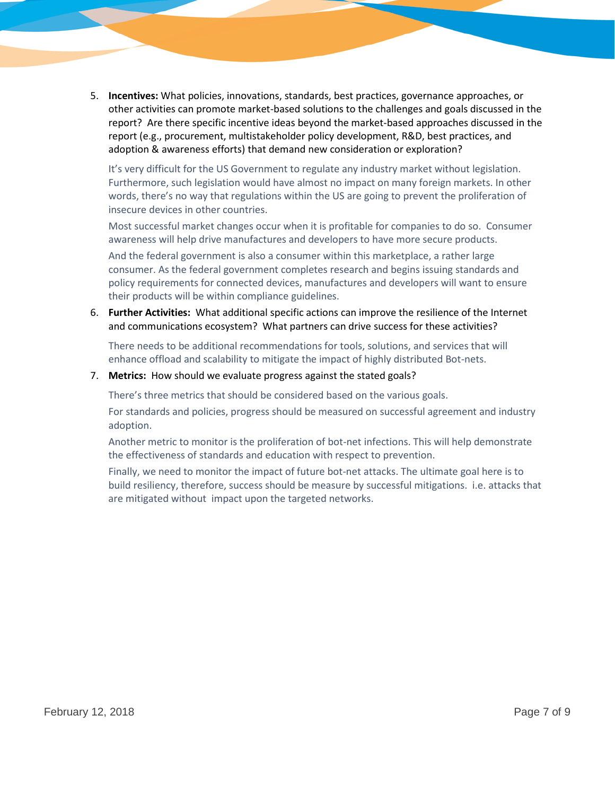5. **Incentives:** What policies, innovations, standards, best practices, governance approaches, or other activities can promote market-based solutions to the challenges and goals discussed in the report? Are there specific incentive ideas beyond the market-based approaches discussed in the report (e.g., procurement, multistakeholder policy development, R&D, best practices, and adoption & awareness efforts) that demand new consideration or exploration?

It's very difficult for the US Government to regulate any industry market without legislation. Furthermore, such legislation would have almost no impact on many foreign markets. In other words, there's no way that regulations within the US are going to prevent the proliferation of insecure devices in other countries.

Most successful market changes occur when it is profitable for companies to do so. Consumer awareness will help drive manufactures and developers to have more secure products.

And the federal government is also a consumer within this marketplace, a rather large consumer. As the federal government completes research and begins issuing standards and policy requirements for connected devices, manufactures and developers will want to ensure their products will be within compliance guidelines.

6. **Further Activities:** What additional specific actions can improve the resilience of the Internet and communications ecosystem? What partners can drive success for these activities?

There needs to be additional recommendations for tools, solutions, and services that will enhance offload and scalability to mitigate the impact of highly distributed Bot-nets.

#### 7. **Metrics:** How should we evaluate progress against the stated goals?

There's three metrics that should be considered based on the various goals.

For standards and policies, progress should be measured on successful agreement and industry adoption.

Another metric to monitor is the proliferation of bot-net infections. This will help demonstrate the effectiveness of standards and education with respect to prevention.

Finally, we need to monitor the impact of future bot-net attacks. The ultimate goal here is to build resiliency, therefore, success should be measure by successful mitigations. i.e. attacks that are mitigated without impact upon the targeted networks.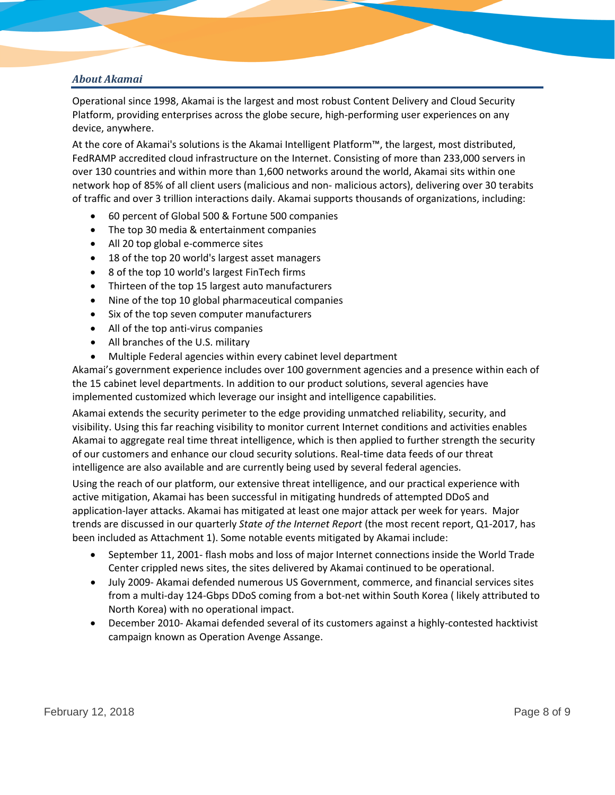# *About Akamai*

Operational since 1998, Akamai is the largest and most robust Content Delivery and Cloud Security Platform, providing enterprises across the globe secure, high-performing user experiences on any device, anywhere.

At the core of Akamai's solutions is the Akamai Intelligent Platform™, the largest, most distributed, FedRAMP accredited cloud infrastructure on the Internet. Consisting of more than 233,000 servers in over 130 countries and within more than 1,600 networks around the world, Akamai sits within one network hop of 85% of all client users (malicious and non- malicious actors), delivering over 30 terabits of traffic and over 3 trillion interactions daily. Akamai supports thousands of organizations, including:

- 60 percent of Global 500 & Fortune 500 companies
- The top 30 media & entertainment companies
- All 20 top global e-commerce sites
- 18 of the top 20 world's largest asset managers
- 8 of the top 10 world's largest FinTech firms
- Thirteen of the top 15 largest auto manufacturers
- Nine of the top 10 global pharmaceutical companies
- Six of the top seven computer manufacturers
- All of the top anti-virus companies
- All branches of the U.S. military
- Multiple Federal agencies within every cabinet level department

Akamai's government experience includes over 100 government agencies and a presence within each of the 15 cabinet level departments. In addition to our product solutions, several agencies have implemented customized which leverage our insight and intelligence capabilities.

Akamai extends the security perimeter to the edge providing unmatched reliability, security, and visibility. Using this far reaching visibility to monitor current Internet conditions and activities enables Akamai to aggregate real time threat intelligence, which is then applied to further strength the security of our customers and enhance our cloud security solutions. Real-time data feeds of our threat intelligence are also available and are currently being used by several federal agencies.

Using the reach of our platform, our extensive threat intelligence, and our practical experience with active mitigation, Akamai has been successful in mitigating hundreds of attempted DDoS and application-layer attacks. Akamai has mitigated at least one major attack per week for years. Major trends are discussed in our quarterly *State of the Internet Report* (the most recent report, Q1-2017, has been included as Attachment 1). Some notable events mitigated by Akamai include:

- September 11, 2001- flash mobs and loss of major Internet connections inside the World Trade Center crippled news sites, the sites delivered by Akamai continued to be operational.
- July 2009- Akamai defended numerous US Government, commerce, and financial services sites from a multi-day 124-Gbps DDoS coming from a bot-net within South Korea ( likely attributed to North Korea) with no operational impact.
- December 2010- Akamai defended several of its customers against a highly-contested hacktivist campaign known as Operation Avenge Assange.